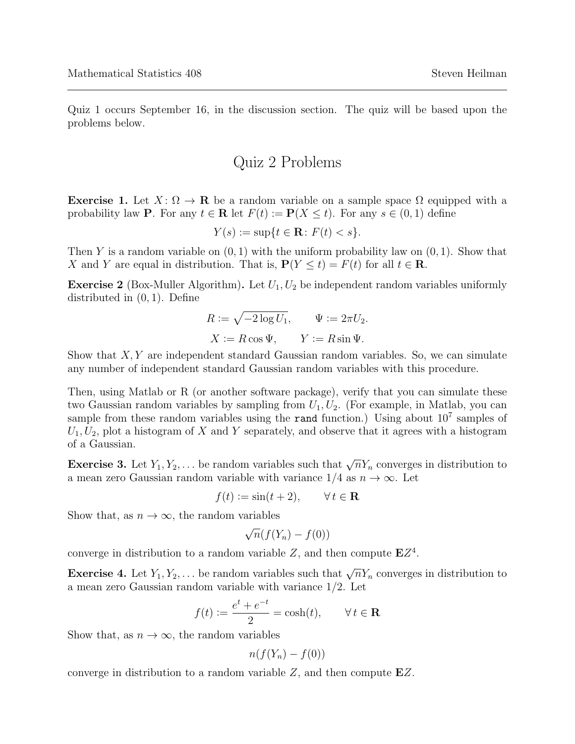Quiz 1 occurs September 16, in the discussion section. The quiz will be based upon the problems below.

## Quiz 2 Problems

**Exercise 1.** Let  $X: \Omega \to \mathbf{R}$  be a random variable on a sample space  $\Omega$  equipped with a probability law **P**. For any  $t \in \mathbb{R}$  let  $F(t) := \mathbb{P}(X \leq t)$ . For any  $s \in (0, 1)$  define

$$
Y(s) := \sup\{t \in \mathbf{R} \colon F(t) < s\}.
$$

Then Y is a random variable on  $(0, 1)$  with the uniform probability law on  $(0, 1)$ . Show that X and Y are equal in distribution. That is,  $P(Y \le t) = F(t)$  for all  $t \in \mathbb{R}$ .

**Exercise 2** (Box-Muller Algorithm). Let  $U_1, U_2$  be independent random variables uniformly distributed in (0, 1). Define

$$
R := \sqrt{-2\log U_1}, \qquad \Psi := 2\pi U_2.
$$

$$
X := R\cos\Psi, \qquad Y := R\sin\Psi.
$$

Show that  $X, Y$  are independent standard Gaussian random variables. So, we can simulate any number of independent standard Gaussian random variables with this procedure.

Then, using Matlab or R (or another software package), verify that you can simulate these two Gaussian random variables by sampling from  $U_1, U_2$ . (For example, in Matlab, you can sample from these random variables using the rand function.) Using about  $10^7$  samples of  $U_1, U_2$ , plot a histogram of X and Y separately, and observe that it agrees with a histogram of a Gaussian.

**Exercise 3.** Let  $Y_1, Y_2, \ldots$  be random variables such that  $\sqrt{n}Y_n$  converges in distribution to a mean zero Gaussian random variable with variance  $1/4$  as  $n \to \infty$ . Let

$$
f(t) := \sin(t+2), \qquad \forall \, t \in \mathbf{R}
$$

Show that, as  $n \to \infty$ , the random variables

$$
\sqrt{n}(f(Y_n) - f(0))
$$

converge in distribution to a random variable  $Z$ , and then compute  $EZ<sup>4</sup>$ .

**Exercise 4.** Let  $Y_1, Y_2, \ldots$  be random variables such that  $\sqrt{n}Y_n$  converges in distribution to a mean zero Gaussian random variable with variance 1/2. Let

$$
f(t) := \frac{e^t + e^{-t}}{2} = \cosh(t), \qquad \forall \, t \in \mathbf{R}
$$

Show that, as  $n \to \infty$ , the random variables

$$
n(f(Y_n) - f(0))
$$

converge in distribution to a random variable  $Z$ , and then compute  $EZ$ .